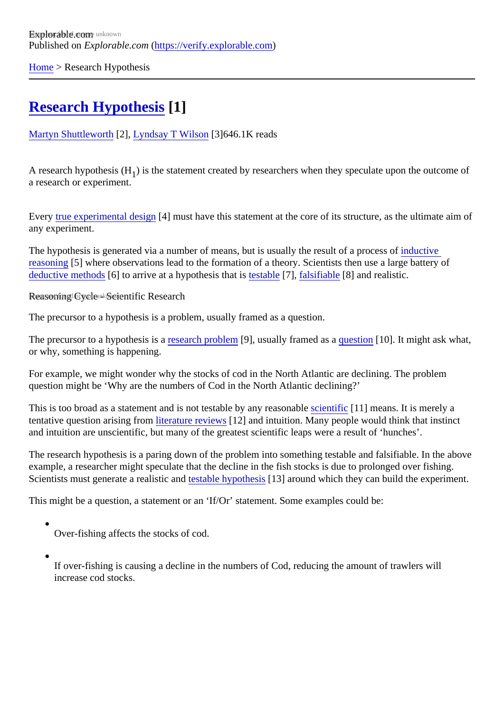[Home](https://verify.explorable.com/) > Research Hypothesis

# [Research Hypothesi](https://verify.explorable.com/research-hypothesis)\$1]

[Martyn Shuttlewort](https://verify.explorable.com/users/martyn)h[2], [Lyndsay T Wilson](https://explorable.com/users/Lyndsay T Wilson)[3]646.1K reads

A research hypothesis (His the statement created by researchers when they speculate upon the outcome  $\epsilon$ a research or experiment.

Every [true experimental desig](https://verify.explorable.com/true-experimental-design)nal must have this statement at the core of its structure, as the ultimate aim of any experiment.

The hypothesis is generated via a number of means, but is usually the result of a prodessive [reasoning](https://verify.explorable.com/inductive-reasoning) 5] where observations lead to the formation of a theory. Scientists then use a large battery of  $\overline{\text{deductive}}$  method<sup>6</sup> to arrive at a hypothesis that  $\text{d}$  testable<sup>7</sup>], [falsifiable](https://verify.explorable.com/falsifiability)<sup>[8]</sup> and realistic.

Reasoning Cycle - Scientific Research

The precursor to a hypothesis is a problem, usually framed as a question.

The precursor to a hypothesis is exearch problem<sup>[9]</sup>, usually framed as *question*[10]. It might ask what, or why, something is happening.

For example, we might wonder why the stocks of cod in the North Atlantic are declining. The problem question might be 'Why are the numbers of Cod in the North Atlantic declining?'

This is too broad as a statement and is not testable by any reason at  $6$  (11] means. It is merely a tentative question arising fr[om literature review](https://verify.explorable.com/what-is-a-literature-review)\$12] and intuition. Many people would think that instinct and intuition are unscientific, but many of the greatest scientific leaps were a result of 'hunches'.

The research hypothesis is a paring down of the problem into something testable and falsifiable. In the about example, a researcher might speculate that the decline in the fish stocks is due to prolonged over fishing. Scientists must generate a realistic **and able hypothes**<sup>[43]</sup> around which they can build the experiment.

This might be a question, a statement or an 'If/Or' statement. Some examples could be:

Over-fishing affects the stocks of cod.

If over-fishing is causing a decline in the numbers of Cod, reducing the amount of trawlers will increase cod stocks.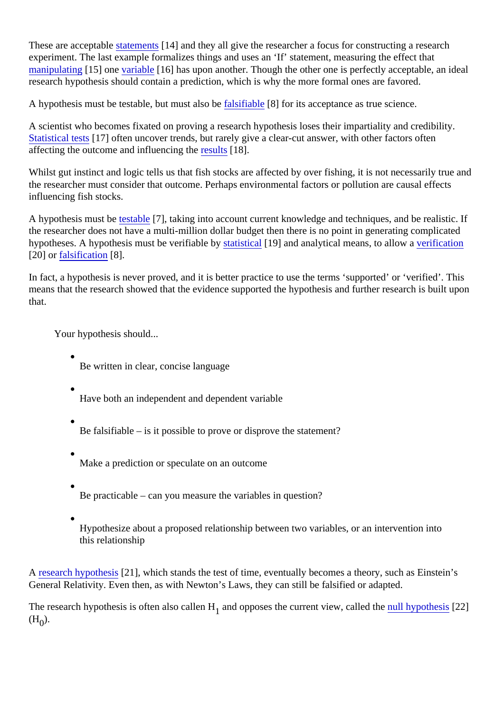These are acceptable tements [14] and they all give the researcher a focus for constructing a research experiment. The last example formalizes things and uses an 'If' statement, measuring the effect that [manipulating](https://verify.explorable.com/independent-variable) [15] onevariable<sup>[16]</sup> has upon another. Though the other one is perfectly acceptable, an ideal research hypothesis should contain a prediction, which is why the more formal ones are favored.

A hypothesis must be testable, but must alstabliable  $[8]$  for its acceptance as true science.

A scientist who becomes fixated on proving a research hypothesis loses their impartiality and credibility. [Statistical test](https://verify.explorable.com/statistical-hypothesis-testing)s[17] often uncover trends, but rarely give a clear-cut answer, with other factors often affecting the outcome and influencing the sults[18].

Whilst gut instinct and logic tells us that fish stocks are affected by over fishing, it is not necessarily true are the researcher must consider that outcome. Perhaps environmental factors or pollution are causal effects influencing fish stocks.

A hypothesis must be stable [7], taking into account current knowledge and techniques, and be realistic. If the researcher does not have a multi-million dollar budget then there is no point in generating complicated hypotheses. A hypothesis must be verifiable tay istical 19] and analytical means, to allow arification [20] or [falsification](https://verify.explorable.com/falsifiability) [8].

In fact, a hypothesis is never proved, and it is better practice to use the terms 'supported' or 'verified'. This means that the research showed that the evidence supported the hypothesis and further research is built u that.

Your hypothesis should...

Be written in clear, concise language

Have both an independent and dependent variable

Be falsifiable – is it possible to prove or disprove the statement?

Make a prediction or speculate on an outcome

Be practicable – can you measure the variables in question?

Hypothesize about a proposed relationship between two variables, or an intervention into this relationship

A [research hypothes](http://en.wikipedia.org/wiki/Hypothesis) [21], which stands the test of time, eventually becomes a theory, such as Einstein's General Relativity. Even then, as with Newton's Laws, they can still be falsified or adapted.

The research hypothesis is often also caller ahd opposes the current view, calledrine hypothesis[22] The risk o  $(H_0)$ .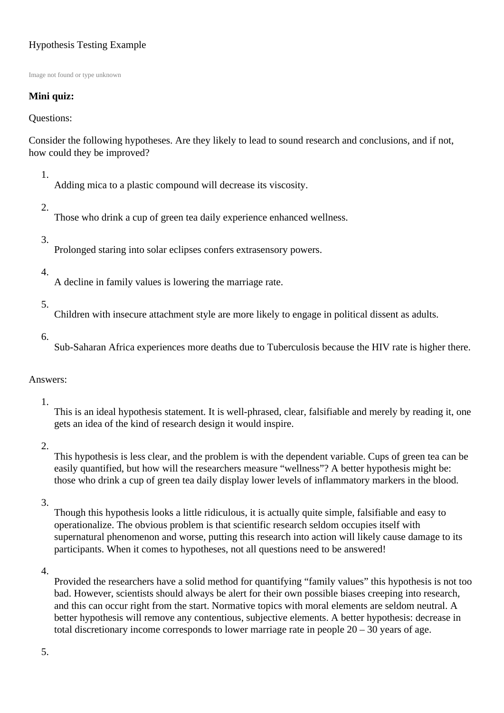# Hypothesis Testing Example

Image not found or type unknown

## **Mini quiz:**

Questions:

Consider the following hypotheses. Are they likely to lead to sound research and conclusions, and if not, how could they be improved?

1.

Adding mica to a plastic compound will decrease its viscosity.

2.

Those who drink a cup of green tea daily experience enhanced wellness.

#### 3.

Prolonged staring into solar eclipses confers extrasensory powers.

#### 4.

A decline in family values is lowering the marriage rate.

5.

Children with insecure attachment style are more likely to engage in political dissent as adults.

6.

Sub-Saharan Africa experiences more deaths due to Tuberculosis because the HIV rate is higher there.

## Answers:

1.

This is an ideal hypothesis statement. It is well-phrased, clear, falsifiable and merely by reading it, one gets an idea of the kind of research design it would inspire.

## 2.

This hypothesis is less clear, and the problem is with the dependent variable. Cups of green tea can be easily quantified, but how will the researchers measure "wellness"? A better hypothesis might be: those who drink a cup of green tea daily display lower levels of inflammatory markers in the blood.

#### 3.

Though this hypothesis looks a little ridiculous, it is actually quite simple, falsifiable and easy to operationalize. The obvious problem is that scientific research seldom occupies itself with supernatural phenomenon and worse, putting this research into action will likely cause damage to its participants. When it comes to hypotheses, not all questions need to be answered!

4.

Provided the researchers have a solid method for quantifying "family values" this hypothesis is not too bad. However, scientists should always be alert for their own possible biases creeping into research, and this can occur right from the start. Normative topics with moral elements are seldom neutral. A better hypothesis will remove any contentious, subjective elements. A better hypothesis: decrease in total discretionary income corresponds to lower marriage rate in people 20 – 30 years of age.